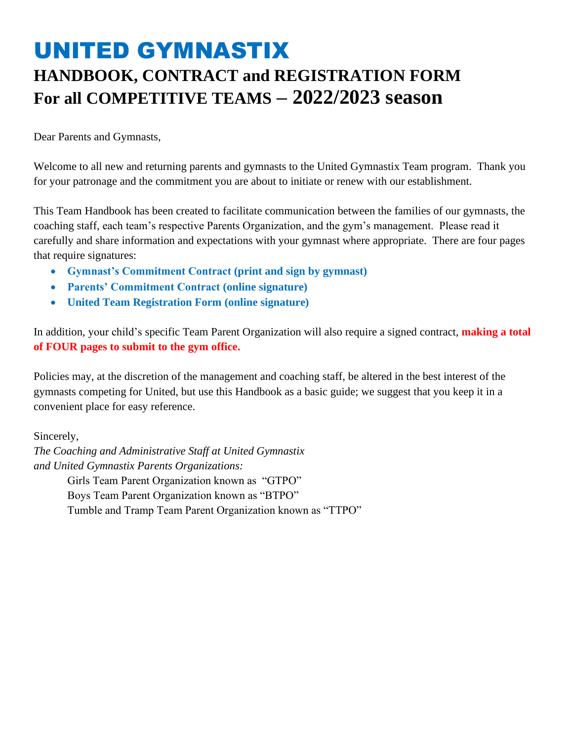# UNITED GYMNASTIX **HANDBOOK, CONTRACT and REGISTRATION FORM For all COMPETITIVE TEAMS – 2022/2023 season**

Dear Parents and Gymnasts,

Welcome to all new and returning parents and gymnasts to the United Gymnastix Team program. Thank you for your patronage and the commitment you are about to initiate or renew with our establishment.

This Team Handbook has been created to facilitate communication between the families of our gymnasts, the coaching staff, each team's respective Parents Organization, and the gym's management. Please read it carefully and share information and expectations with your gymnast where appropriate. There are four pages that require signatures:

- **Gymnast's Commitment Contract (print and sign by gymnast)**
- **Parents' Commitment Contract (online signature)**
- **United Team Registration Form (online signature)**

In addition, your child's specific Team Parent Organization will also require a signed contract, **making a total of FOUR pages to submit to the gym office.**

Policies may, at the discretion of the management and coaching staff, be altered in the best interest of the gymnasts competing for United, but use this Handbook as a basic guide; we suggest that you keep it in a convenient place for easy reference.

Sincerely,

*The Coaching and Administrative Staff at United Gymnastix and United Gymnastix Parents Organizations:* Girls Team Parent Organization known as "GTPO" Boys Team Parent Organization known as "BTPO" Tumble and Tramp Team Parent Organization known as "TTPO"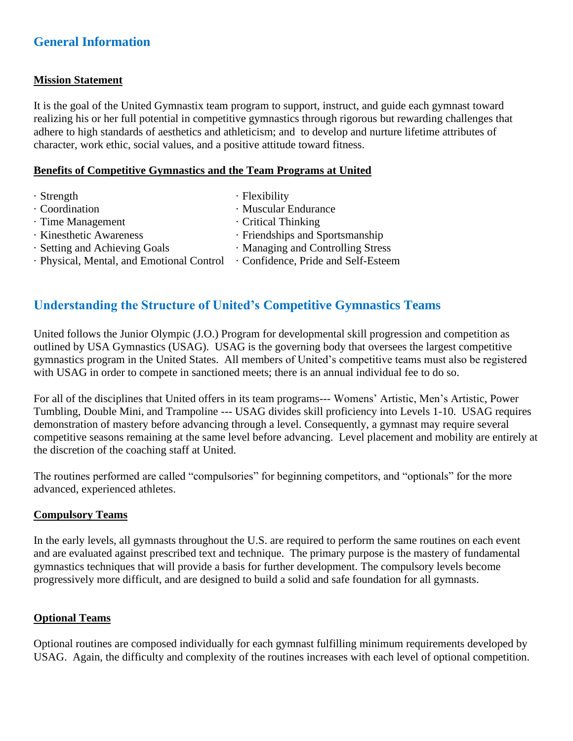# **General Information**

#### **Mission Statement**

It is the goal of the United Gymnastix team program to support, instruct, and guide each gymnast toward realizing his or her full potential in competitive gymnastics through rigorous but rewarding challenges that adhere to high standards of aesthetics and athleticism; and to develop and nurture lifetime attributes of character, work ethic, social values, and a positive attitude toward fitness.

#### **Benefits of Competitive Gymnastics and the Team Programs at United**

- · Strength · Flexibility
- 
- · Time Management · Critical Thinking
- 
- 
- · Physical, Mental, and Emotional Control · Confidence, Pride and Self-Esteem
- · Coordination · Muscular Endurance
	-
- · Kinesthetic Awareness · Friendships and Sportsmanship
- Setting and Achieving Goals Managing and Controlling Stress
	-

# **Understanding the Structure of United's Competitive Gymnastics Teams**

United follows the Junior Olympic (J.O.) Program for developmental skill progression and competition as outlined by USA Gymnastics (USAG). USAG is the governing body that oversees the largest competitive gymnastics program in the United States. All members of United's competitive teams must also be registered with USAG in order to compete in sanctioned meets; there is an annual individual fee to do so.

For all of the disciplines that United offers in its team programs--- Womens' Artistic, Men's Artistic, Power Tumbling, Double Mini, and Trampoline --- USAG divides skill proficiency into Levels 1-10. USAG requires demonstration of mastery before advancing through a level. Consequently, a gymnast may require several competitive seasons remaining at the same level before advancing. Level placement and mobility are entirely at the discretion of the coaching staff at United.

The routines performed are called "compulsories" for beginning competitors, and "optionals" for the more advanced, experienced athletes.

#### **Compulsory Teams**

In the early levels, all gymnasts throughout the U.S. are required to perform the same routines on each event and are evaluated against prescribed text and technique. The primary purpose is the mastery of fundamental gymnastics techniques that will provide a basis for further development. The compulsory levels become progressively more difficult, and are designed to build a solid and safe foundation for all gymnasts.

#### **Optional Teams**

Optional routines are composed individually for each gymnast fulfilling minimum requirements developed by USAG. Again, the difficulty and complexity of the routines increases with each level of optional competition.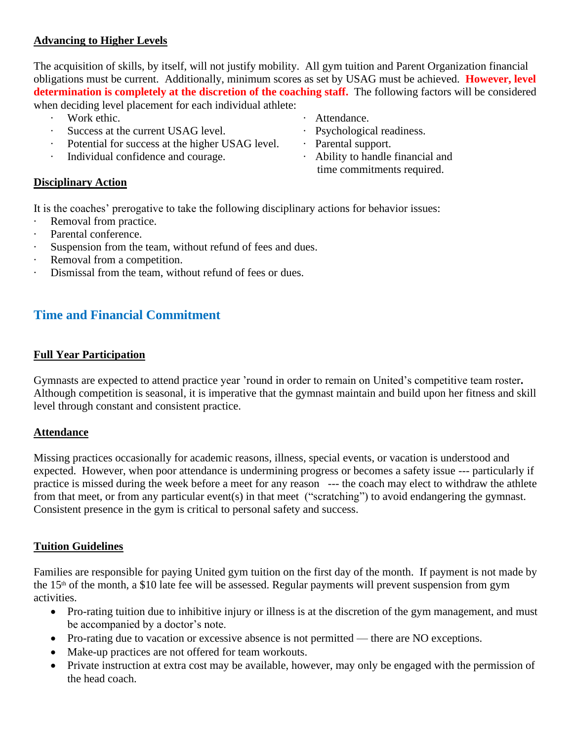#### **Advancing to Higher Levels**

The acquisition of skills, by itself, will not justify mobility. All gym tuition and Parent Organization financial obligations must be current. Additionally, minimum scores as set by USAG must be achieved. **However, level determination is completely at the discretion of the coaching staff.** The following factors will be considered

when deciding level placement for each individual athlete:

- 
- Success at the current USAG level. **•** Psychological readiness.
- Potential for success at the higher USAG level. Parental support.
- Individual confidence and courage. <br> Ability to handle financial and
- Vork ethic.  **Attendance**.
	-
	-
	- time commitments required.

#### **Disciplinary Action**

It is the coaches' prerogative to take the following disciplinary actions for behavior issues:

- · Removal from practice.
- · Parental conference.
- Suspension from the team, without refund of fees and dues.
- Removal from a competition.
- Dismissal from the team, without refund of fees or dues.

# **Time and Financial Commitment**

## **Full Year Participation**

Gymnasts are expected to attend practice year 'round in order to remain on United's competitive team roster**.** Although competition is seasonal, it is imperative that the gymnast maintain and build upon her fitness and skill level through constant and consistent practice.

## **Attendance**

Missing practices occasionally for academic reasons, illness, special events, or vacation is understood and expected. However, when poor attendance is undermining progress or becomes a safety issue --- particularly if practice is missed during the week before a meet for any reason --- the coach may elect to withdraw the athlete from that meet, or from any particular event(s) in that meet ("scratching") to avoid endangering the gymnast. Consistent presence in the gym is critical to personal safety and success.

## **Tuition Guidelines**

Families are responsible for paying United gym tuition on the first day of the month. If payment is not made by the 15th of the month, a \$10 late fee will be assessed. Regular payments will prevent suspension from gym activities.

- Pro-rating tuition due to inhibitive injury or illness is at the discretion of the gym management, and must be accompanied by a doctor's note.
- Pro-rating due to vacation or excessive absence is not permitted there are NO exceptions.
- Make-up practices are not offered for team workouts.
- Private instruction at extra cost may be available, however, may only be engaged with the permission of the head coach.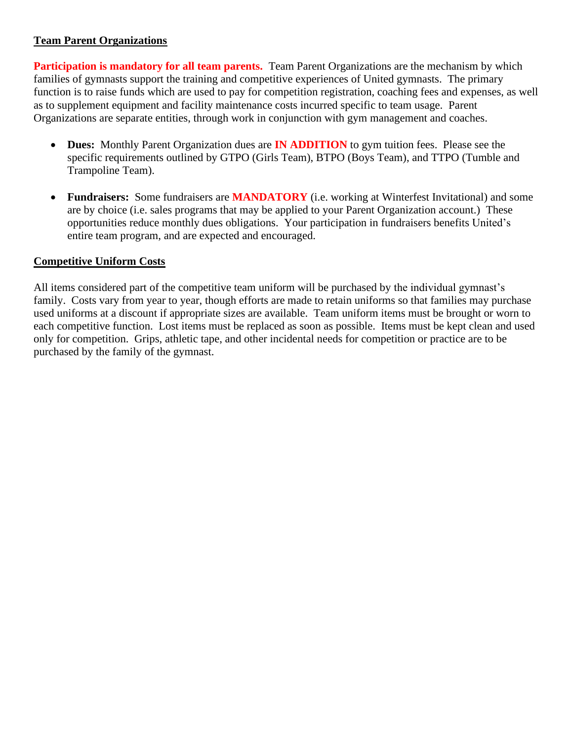## **Team Parent Organizations**

**Participation is mandatory for all team parents.** Team Parent Organizations are the mechanism by which families of gymnasts support the training and competitive experiences of United gymnasts. The primary function is to raise funds which are used to pay for competition registration, coaching fees and expenses, as well as to supplement equipment and facility maintenance costs incurred specific to team usage. Parent Organizations are separate entities, through work in conjunction with gym management and coaches.

- **Dues:** Monthly Parent Organization dues are **IN ADDITION** to gym tuition fees. Please see the specific requirements outlined by GTPO (Girls Team), BTPO (Boys Team), and TTPO (Tumble and Trampoline Team).
- **Fundraisers:** Some fundraisers are **MANDATORY** (i.e. working at Winterfest Invitational) and some are by choice (i.e. sales programs that may be applied to your Parent Organization account.) These opportunities reduce monthly dues obligations. Your participation in fundraisers benefits United's entire team program, and are expected and encouraged.

## **Competitive Uniform Costs**

All items considered part of the competitive team uniform will be purchased by the individual gymnast's family. Costs vary from year to year, though efforts are made to retain uniforms so that families may purchase used uniforms at a discount if appropriate sizes are available. Team uniform items must be brought or worn to each competitive function. Lost items must be replaced as soon as possible. Items must be kept clean and used only for competition. Grips, athletic tape, and other incidental needs for competition or practice are to be purchased by the family of the gymnast.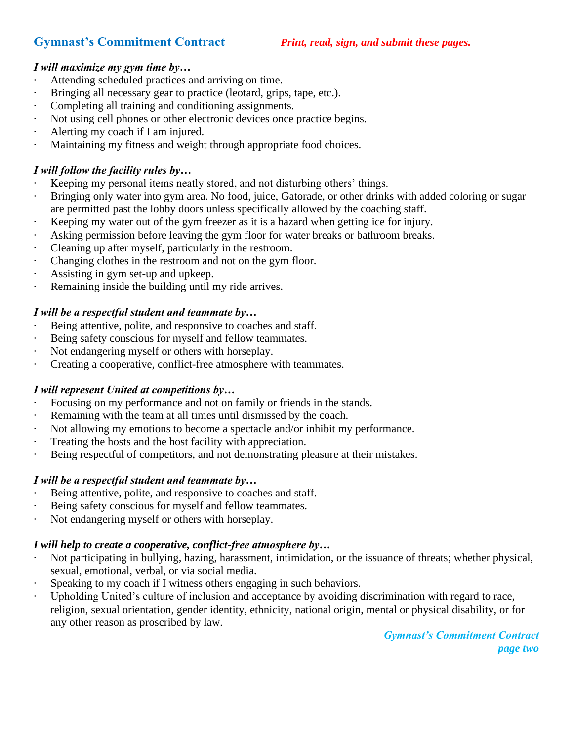# **Gymnast's Commitment Contract** *Print, read, sign, and submit these pages.*

## *I will maximize my gym time by…*

- Attending scheduled practices and arriving on time.
- · Bringing all necessary gear to practice (leotard, grips, tape, etc.).
- Completing all training and conditioning assignments.
- Not using cell phones or other electronic devices once practice begins.
- Alerting my coach if I am injured.
- Maintaining my fitness and weight through appropriate food choices.

## *I will follow the facility rules by…*

- Keeping my personal items neatly stored, and not disturbing others' things.
- Bringing only water into gym area. No food, juice, Gatorade, or other drinks with added coloring or sugar are permitted past the lobby doors unless specifically allowed by the coaching staff.
- · Keeping my water out of the gym freezer as it is a hazard when getting ice for injury.
- Asking permission before leaving the gym floor for water breaks or bathroom breaks.
- Cleaning up after myself, particularly in the restroom.
- · Changing clothes in the restroom and not on the gym floor.
- · Assisting in gym set-up and upkeep.
- Remaining inside the building until my ride arrives.

## *I will be a respectful student and teammate by…*

- Being attentive, polite, and responsive to coaches and staff.
- Being safety conscious for myself and fellow teammates.
- · Not endangering myself or others with horseplay.
- Creating a cooperative, conflict-free atmosphere with teammates.

## *I will represent United at competitions by…*

- Focusing on my performance and not on family or friends in the stands.
- · Remaining with the team at all times until dismissed by the coach.
- · Not allowing my emotions to become a spectacle and/or inhibit my performance.
- · Treating the hosts and the host facility with appreciation.
- Being respectful of competitors, and not demonstrating pleasure at their mistakes.

## *I will be a respectful student and teammate by…*

- Being attentive, polite, and responsive to coaches and staff.
- · Being safety conscious for myself and fellow teammates.
- · Not endangering myself or others with horseplay.

## *I will help to create a cooperative, conflict-free atmosphere by…*

- Not participating in bullying, hazing, harassment, intimidation, or the issuance of threats; whether physical, sexual, emotional, verbal, or via social media.
- Speaking to my coach if I witness others engaging in such behaviors.
- Upholding United's culture of inclusion and acceptance by avoiding discrimination with regard to race, religion, sexual orientation, gender identity, ethnicity, national origin, mental or physical disability, or for any other reason as proscribed by law.